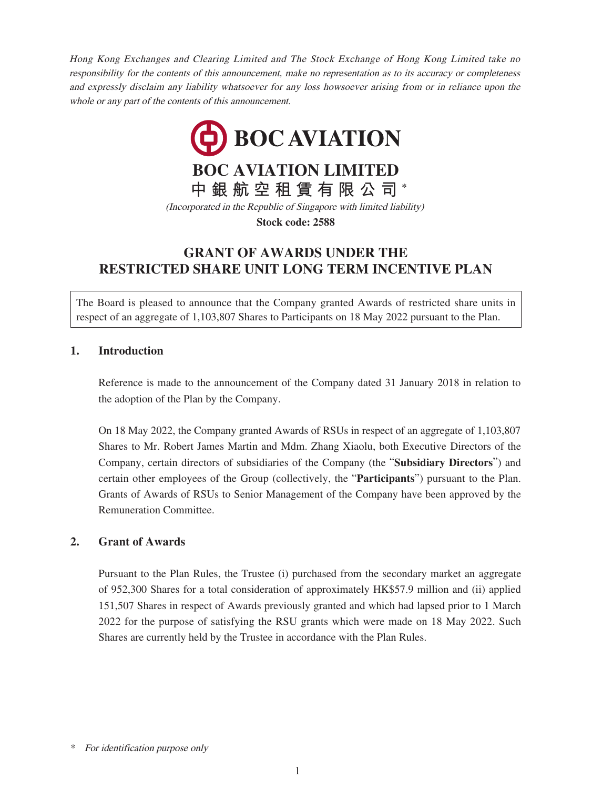Hong Kong Exchanges and Clearing Limited and The Stock Exchange of Hong Kong Limited take no responsibility for the contents of this announcement, make no representation as to its accuracy or completeness and expressly disclaim any liability whatsoever for any loss howsoever arising from or in reliance upon the whole or any part of the contents of this announcement.



**Stock code: 2588**

## **GRANT OF AWARDS UNDER THE RESTRICTED SHARE UNIT LONG TERM INCENTIVE PLAN**

The Board is pleased to announce that the Company granted Awards of restricted share units in respect of an aggregate of 1,103,807 Shares to Participants on 18 May 2022 pursuant to the Plan.

#### **1. Introduction**

Reference is made to the announcement of the Company dated 31 January 2018 in relation to the adoption of the Plan by the Company.

On 18 May 2022, the Company granted Awards of RSUs in respect of an aggregate of 1,103,807 Shares to Mr. Robert James Martin and Mdm. Zhang Xiaolu, both Executive Directors of the Company, certain directors of subsidiaries of the Company (the "**Subsidiary Directors**") and certain other employees of the Group (collectively, the "**Participants**") pursuant to the Plan. Grants of Awards of RSUs to Senior Management of the Company have been approved by the Remuneration Committee.

### **2. Grant of Awards**

Pursuant to the Plan Rules, the Trustee (i) purchased from the secondary market an aggregate of 952,300 Shares for a total consideration of approximately HK\$57.9 million and (ii) applied 151,507 Shares in respect of Awards previously granted and which had lapsed prior to 1 March 2022 for the purpose of satisfying the RSU grants which were made on 18 May 2022. Such Shares are currently held by the Trustee in accordance with the Plan Rules.

<sup>\*</sup> For identification purpose only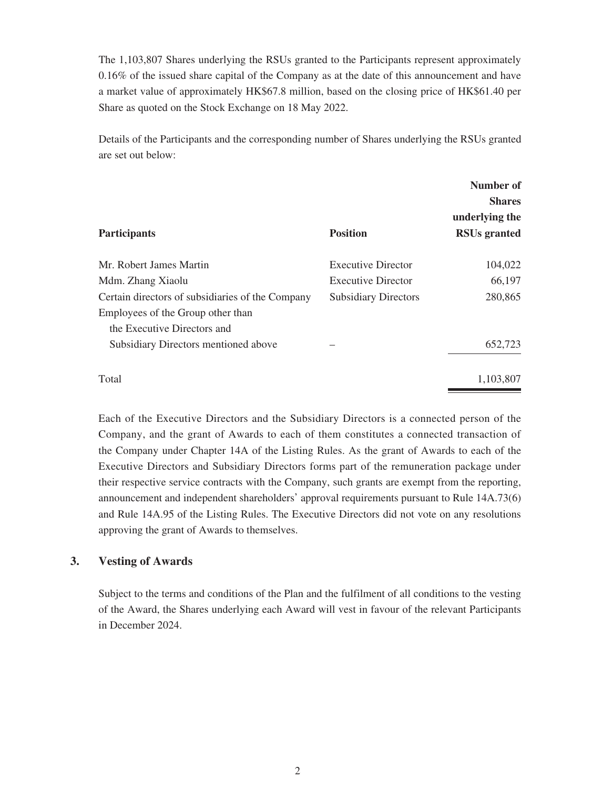The 1,103,807 Shares underlying the RSUs granted to the Participants represent approximately 0.16% of the issued share capital of the Company as at the date of this announcement and have a market value of approximately HK\$67.8 million, based on the closing price of HK\$61.40 per Share as quoted on the Stock Exchange on 18 May 2022.

Details of the Participants and the corresponding number of Shares underlying the RSUs granted are set out below:

|                                                  |                             | Number of<br><b>Shares</b><br>underlying the |
|--------------------------------------------------|-----------------------------|----------------------------------------------|
| <b>Participants</b>                              | <b>Position</b>             | <b>RSUs</b> granted                          |
| Mr. Robert James Martin                          | <b>Executive Director</b>   | 104,022                                      |
| Mdm. Zhang Xiaolu                                | <b>Executive Director</b>   | 66,197                                       |
| Certain directors of subsidiaries of the Company | <b>Subsidiary Directors</b> | 280,865                                      |
| Employees of the Group other than                |                             |                                              |
| the Executive Directors and                      |                             |                                              |
| Subsidiary Directors mentioned above             |                             | 652,723                                      |
| Total                                            |                             | 1,103,807                                    |

Each of the Executive Directors and the Subsidiary Directors is a connected person of the Company, and the grant of Awards to each of them constitutes a connected transaction of the Company under Chapter 14A of the Listing Rules. As the grant of Awards to each of the Executive Directors and Subsidiary Directors forms part of the remuneration package under their respective service contracts with the Company, such grants are exempt from the reporting, announcement and independent shareholders' approval requirements pursuant to Rule 14A.73(6) and Rule 14A.95 of the Listing Rules. The Executive Directors did not vote on any resolutions approving the grant of Awards to themselves.

### **3. Vesting of Awards**

Subject to the terms and conditions of the Plan and the fulfilment of all conditions to the vesting of the Award, the Shares underlying each Award will vest in favour of the relevant Participants in December 2024.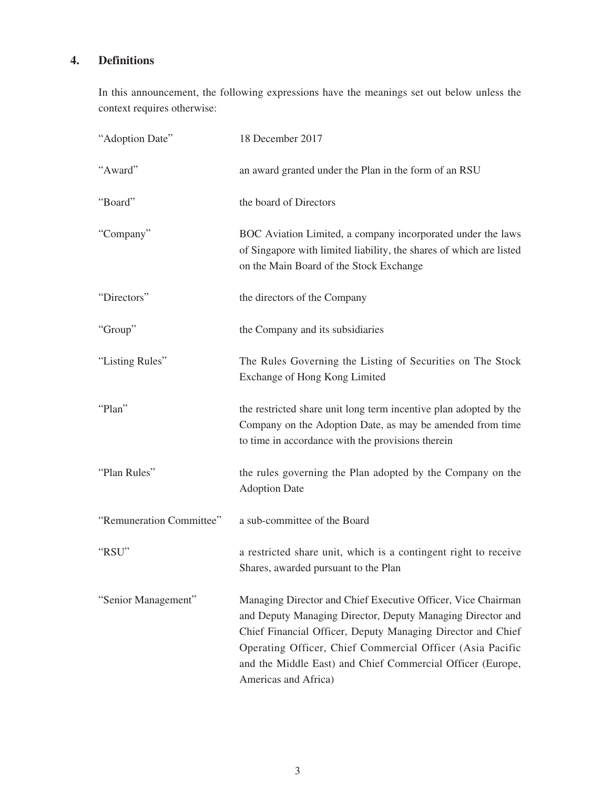# **4. Definitions**

In this announcement, the following expressions have the meanings set out below unless the context requires otherwise:

| "Adoption Date"          | 18 December 2017                                                                                                                                                                                                                                                                                                                             |
|--------------------------|----------------------------------------------------------------------------------------------------------------------------------------------------------------------------------------------------------------------------------------------------------------------------------------------------------------------------------------------|
| "Award"                  | an award granted under the Plan in the form of an RSU                                                                                                                                                                                                                                                                                        |
| "Board"                  | the board of Directors                                                                                                                                                                                                                                                                                                                       |
| "Company"                | BOC Aviation Limited, a company incorporated under the laws<br>of Singapore with limited liability, the shares of which are listed<br>on the Main Board of the Stock Exchange                                                                                                                                                                |
| "Directors"              | the directors of the Company                                                                                                                                                                                                                                                                                                                 |
| "Group"                  | the Company and its subsidiaries                                                                                                                                                                                                                                                                                                             |
| "Listing Rules"          | The Rules Governing the Listing of Securities on The Stock<br>Exchange of Hong Kong Limited                                                                                                                                                                                                                                                  |
| "Plan"                   | the restricted share unit long term incentive plan adopted by the<br>Company on the Adoption Date, as may be amended from time<br>to time in accordance with the provisions therein                                                                                                                                                          |
| "Plan Rules"             | the rules governing the Plan adopted by the Company on the<br><b>Adoption Date</b>                                                                                                                                                                                                                                                           |
| "Remuneration Committee" | a sub-committee of the Board                                                                                                                                                                                                                                                                                                                 |
| "RSU"                    | a restricted share unit, which is a contingent right to receive<br>Shares, awarded pursuant to the Plan                                                                                                                                                                                                                                      |
| "Senior Management"      | Managing Director and Chief Executive Officer, Vice Chairman<br>and Deputy Managing Director, Deputy Managing Director and<br>Chief Financial Officer, Deputy Managing Director and Chief<br>Operating Officer, Chief Commercial Officer (Asia Pacific<br>and the Middle East) and Chief Commercial Officer (Europe,<br>Americas and Africa) |